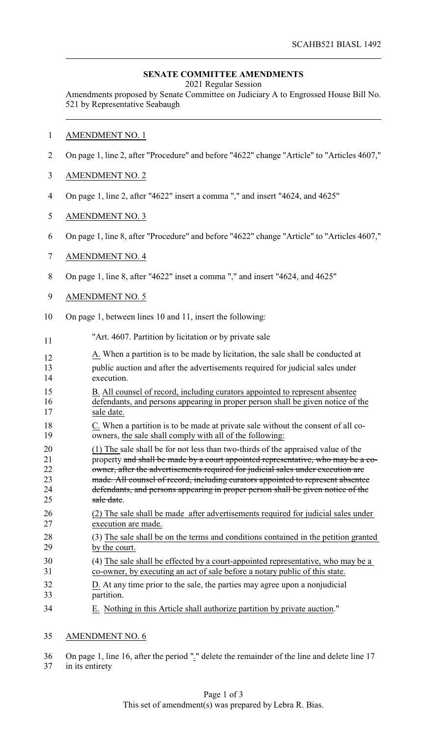## **SENATE COMMITTEE AMENDMENTS**

2021 Regular Session

Amendments proposed by Senate Committee on Judiciary A to Engrossed House Bill No. 521 by Representative Seabaugh

#### AMENDMENT NO. 1

- On page 1, line 2, after "Procedure" and before "4622" change "Article" to "Articles 4607,"
- AMENDMENT NO. 2
- On page 1, line 2, after "4622" insert a comma "," and insert "4624, and 4625"
- AMENDMENT NO. 3
- On page 1, line 8, after "Procedure" and before "4622" change "Article" to "Articles 4607,"

## AMENDMENT NO. 4

On page 1, line 8, after "4622" inset a comma "," and insert "4624, and 4625"

#### AMENDMENT NO. 5

- On page 1, between lines 10 and 11, insert the following:
- <sup>11</sup> <sup>"Art. 4607. Partition by licitation or by private sale"</sup>
- $A<sub>12</sub>$  A. When a partition is to be made by licitation, the sale shall be conducted at
- public auction and after the advertisements required for judicial sales under execution.
- B. All counsel of record, including curators appointed to represent absentee defendants, and persons appearing in proper person shall be given notice of the 17 sale date.
- 18 C. When a partition is to be made at private sale without the consent of all co-19 owners, the sale shall comply with all of the following:
- (1) The sale shall be for not less than two-thirds of the appraised value of the property and shall be made by a court appointed representative, who may be a co-22 owner, after the advertisements required for judicial sales under execution are 23 made. All counsel of record, including curators appointed to represent absentee defendants, and persons appearing in proper person shall be given notice of the 25 sale date.
- (2) The sale shall be made after advertisements required for judicial sales under execution are made.
- (3) The sale shall be on the terms and conditions contained in the petition granted by the court.
- (4) The sale shall be effected by a court-appointed representative, who may be a co-owner, by executing an act of sale before a notary public of this state.
- D. At any time prior to the sale, the parties may agree upon a nonjudicial partition.
- E. Nothing in this Article shall authorize partition by private auction."

## AMENDMENT NO. 6

 On page 1, line 16, after the period "." delete the remainder of the line and delete line 17 in its entirety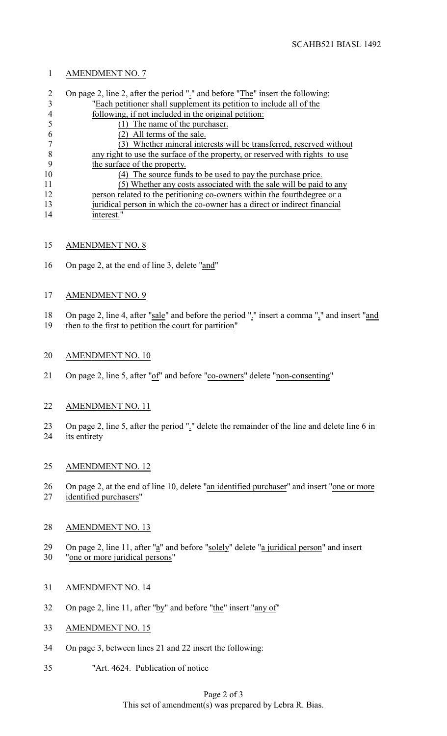## AMENDMENT NO. 7

| $\mathcal{D}_{\mathcal{L}}$ | On page 2, line 2, after the period "." and before "The" insert the following: |
|-----------------------------|--------------------------------------------------------------------------------|
|                             | "Each petitioner shall supplement its petition to include all of the           |
|                             | following, if not included in the original petition:                           |
|                             | The name of the purchaser.                                                     |
|                             | All terms of the sale.                                                         |
|                             | Whether mineral interests will be transferred, reserved without                |
|                             | any right to use the surface of the property, or reserved with rights to use   |
|                             | the surface of the property.                                                   |
| 10                          | The source funds to be used to pay the purchase price.                         |
| 11                          | (5) Whether any costs associated with the sale will be paid to any             |
| 12                          | person related to the petitioning co-owners within the fourth degree or a      |
| 13                          | juridical person in which the co-owner has a direct or indirect financial      |
| 14                          | interest."                                                                     |

- AMENDMENT NO. 8
- On page 2, at the end of line 3, delete "and"

# AMENDMENT NO. 9

- 18 On page 2, line 4, after "sale" and before the period "." insert a comma "," and insert "and
- then to the first to petition the court for partition"
- AMENDMENT NO. 10
- 21 On page 2, line 5, after "of" and before "co-owners" delete "non-consenting"
- AMENDMENT NO. 11
- On page 2, line 5, after the period "." delete the remainder of the line and delete line 6 in its entirety

## AMENDMENT NO. 12

26 On page 2, at the end of line 10, delete "an identified purchaser" and insert "one or more identified purchasers"

## AMENDMENT NO. 13

- On page 2, line 11, after "a" and before "solely" delete "a juridical person" and insert "one or more juridical persons"
- AMENDMENT NO. 14
- On page 2, line 11, after "by" and before "the" insert "any of"
- AMENDMENT NO. 15
- On page 3, between lines 21 and 22 insert the following:
- "Art. 4624. Publication of notice

## Page 2 of 3 This set of amendment(s) was prepared by Lebra R. Bias.